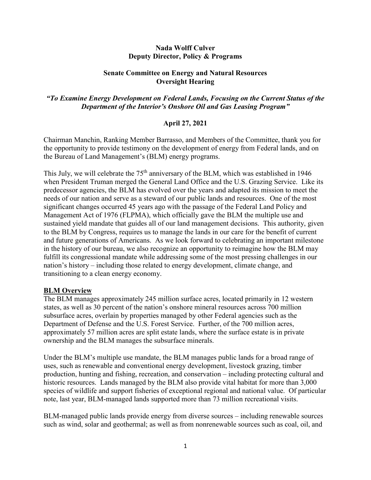#### **Nada Wolff Culver Deputy Director, Policy & Programs**

#### **Senate Committee on Energy and Natural Resources Oversight Hearing**

# *"To Examine Energy Development on Federal Lands, Focusing on the Current Status of the Department of the Interior's Onshore Oil and Gas Leasing Program"*

# **April 27, 2021**

Chairman Manchin, Ranking Member Barrasso, and Members of the Committee, thank you for the opportunity to provide testimony on the development of energy from Federal lands, and on the Bureau of Land Management's (BLM) energy programs.

This July, we will celebrate the 75<sup>th</sup> anniversary of the BLM, which was established in 1946 when President Truman merged the General Land Office and the U.S. Grazing Service. Like its predecessor agencies, the BLM has evolved over the years and adapted its mission to meet the needs of our nation and serve as a steward of our public lands and resources. One of the most significant changes occurred 45 years ago with the passage of the Federal Land Policy and Management Act of 1976 (FLPMA), which officially gave the BLM the multiple use and sustained yield mandate that guides all of our land management decisions. This authority, given to the BLM by Congress, requires us to manage the lands in our care for the benefit of current and future generations of Americans. As we look forward to celebrating an important milestone in the history of our bureau, we also recognize an opportunity to reimagine how the BLM may fulfill its congressional mandate while addressing some of the most pressing challenges in our nation's history – including those related to energy development, climate change, and transitioning to a clean energy economy.

# **BLM Overview**

The BLM manages approximately 245 million surface acres, located primarily in 12 western states, as well as 30 percent of the nation's onshore mineral resources across 700 million subsurface acres, overlain by properties managed by other Federal agencies such as the Department of Defense and the U.S. Forest Service. Further, of the 700 million acres, approximately 57 million acres are split estate lands, where the surface estate is in private ownership and the BLM manages the subsurface minerals.

Under the BLM's multiple use mandate, the BLM manages public lands for a broad range of uses, such as renewable and conventional energy development, livestock grazing, timber production, hunting and fishing, recreation, and conservation – including protecting cultural and historic resources. Lands managed by the BLM also provide vital habitat for more than 3,000 species of wildlife and support fisheries of exceptional regional and national value. Of particular note, last year, BLM-managed lands supported more than 73 million recreational visits.

BLM-managed public lands provide energy from diverse sources – including renewable sources such as wind, solar and geothermal; as well as from nonrenewable sources such as coal, oil, and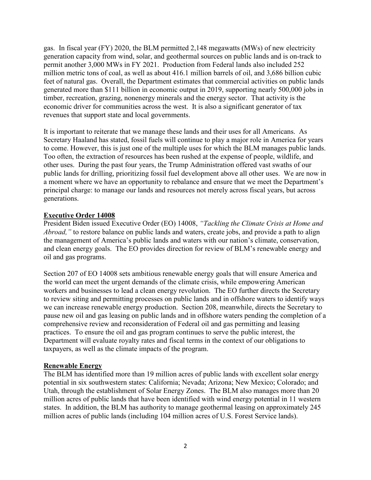gas. In fiscal year (FY) 2020, the BLM permitted 2,148 megawatts (MWs) of new electricity generation capacity from wind, solar, and geothermal sources on public lands and is on-track to permit another 3,000 MWs in FY 2021. Production from Federal lands also included 252 million metric tons of coal, as well as about 416.1 million barrels of oil, and 3,686 billion cubic feet of natural gas. Overall, the Department estimates that commercial activities on public lands generated more than \$111 billion in economic output in 2019, supporting nearly 500,000 jobs in timber, recreation, grazing, nonenergy minerals and the energy sector. That activity is the economic driver for communities across the west. It is also a significant generator of tax revenues that support state and local governments.

It is important to reiterate that we manage these lands and their uses for all Americans. As Secretary Haaland has stated, fossil fuels will continue to play a major role in America for years to come. However, this is just one of the multiple uses for which the BLM manages public lands. Too often, the extraction of resources has been rushed at the expense of people, wildlife, and other uses. During the past four years, the Trump Administration offered vast swaths of our public lands for drilling, prioritizing fossil fuel development above all other uses. We are now in a moment where we have an opportunity to rebalance and ensure that we meet the Department's principal charge: to manage our lands and resources not merely across fiscal years, but across generations.

#### **Executive Order 14008**

President Biden issued Executive Order (EO) 14008, *"Tackling the Climate Crisis at Home and Abroad,*" to restore balance on public lands and waters, create jobs, and provide a path to align the management of America's public lands and waters with our nation's climate, conservation, and clean energy goals. The EO provides direction for review of BLM's renewable energy and oil and gas programs.

Section 207 of EO 14008 sets ambitious renewable energy goals that will ensure America and the world can meet the urgent demands of the climate crisis, while empowering American workers and businesses to lead a clean energy revolution. The EO further directs the Secretary to review siting and permitting processes on public lands and in offshore waters to identify ways we can increase renewable energy production. Section 208, meanwhile, directs the Secretary to pause new oil and gas leasing on public lands and in offshore waters pending the completion of a comprehensive review and reconsideration of Federal oil and gas permitting and leasing practices. To ensure the oil and gas program continues to serve the public interest, the Department will evaluate royalty rates and fiscal terms in the context of our obligations to taxpayers, as well as the climate impacts of the program.

# **Renewable Energy**

The BLM has identified more than 19 million acres of public lands with excellent solar energy potential in six southwestern states: California; Nevada; Arizona; New Mexico; Colorado; and Utah, through the establishment of Solar Energy Zones. The BLM also manages more than 20 million acres of public lands that have been identified with wind energy potential in 11 western states. In addition, the BLM has authority to manage geothermal leasing on approximately 245 million acres of public lands (including 104 million acres of U.S. Forest Service lands).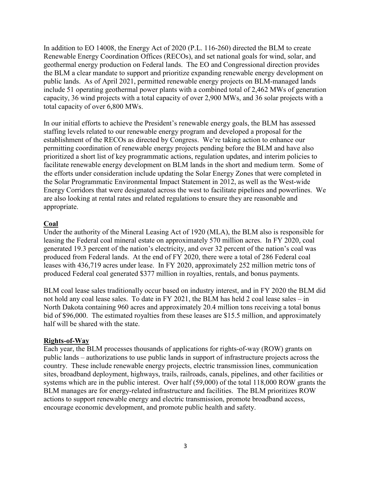In addition to EO 14008, the Energy Act of 2020 (P.L. 116-260) directed the BLM to create Renewable Energy Coordination Offices (RECOs), and set national goals for wind, solar, and geothermal energy production on Federal lands. The EO and Congressional direction provides the BLM a clear mandate to support and prioritize expanding renewable energy development on public lands. As of April 2021, permitted renewable energy projects on BLM-managed lands include 51 operating geothermal power plants with a combined total of 2,462 MWs of generation capacity, 36 wind projects with a total capacity of over 2,900 MWs, and 36 solar projects with a total capacity of over 6,800 MWs.

In our initial efforts to achieve the President's renewable energy goals, the BLM has assessed staffing levels related to our renewable energy program and developed a proposal for the establishment of the RECOs as directed by Congress. We're taking action to enhance our permitting coordination of renewable energy projects pending before the BLM and have also prioritized a short list of key programmatic actions, regulation updates, and interim policies to facilitate renewable energy development on BLM lands in the short and medium term. Some of the efforts under consideration include updating the Solar Energy Zones that were completed in the Solar Programmatic Environmental Impact Statement in 2012, as well as the West-wide Energy Corridors that were designated across the west to facilitate pipelines and powerlines. We are also looking at rental rates and related regulations to ensure they are reasonable and appropriate.

# **Coal**

Under the authority of the Mineral Leasing Act of 1920 (MLA), the BLM also is responsible for leasing the Federal coal mineral estate on approximately 570 million acres. In FY 2020, coal generated 19.3 percent of the nation's electricity, and over 32 percent of the nation's coal was produced from Federal lands. At the end of FY 2020, there were a total of 286 Federal coal leases with 436,719 acres under lease. In FY 2020, approximately 252 million metric tons of produced Federal coal generated \$377 million in royalties, rentals, and bonus payments.

BLM coal lease sales traditionally occur based on industry interest, and in FY 2020 the BLM did not hold any coal lease sales. To date in FY 2021, the BLM has held 2 coal lease sales – in North Dakota containing 960 acres and approximately 20.4 million tons receiving a total bonus bid of \$96,000. The estimated royalties from these leases are \$15.5 million, and approximately half will be shared with the state.

# **Rights-of-Way**

Each year, the BLM processes thousands of applications for rights-of-way (ROW) grants on public lands – authorizations to use public lands in support of infrastructure projects across the country. These include renewable energy projects, electric transmission lines, communication sites, broadband deployment, highways, trails, railroads, canals, pipelines, and other facilities or systems which are in the public interest. Over half (59,000) of the total 118,000 ROW grants the BLM manages are for energy-related infrastructure and facilities. The BLM prioritizes ROW actions to support renewable energy and electric transmission, promote broadband access, encourage economic development, and promote public health and safety.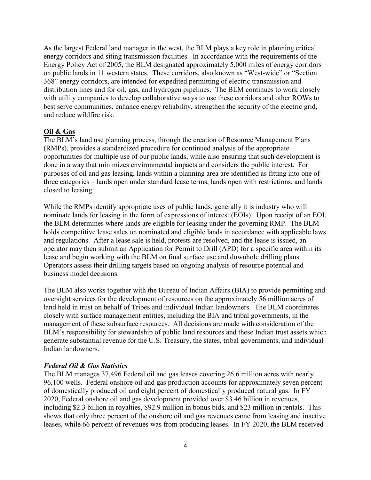As the largest Federal land manager in the west, the BLM plays a key role in planning critical energy corridors and siting transmission facilities. In accordance with the requirements of the Energy Policy Act of 2005, the BLM designated approximately 5,000 miles of energy corridors on public lands in 11 western states. These corridors, also known as "West-wide" or "Section 368" energy corridors, are intended for expedited permitting of electric transmission and distribution lines and for oil, gas, and hydrogen pipelines. The BLM continues to work closely with utility companies to develop collaborative ways to use these corridors and other ROWs to best serve communities, enhance energy reliability, strengthen the security of the electric grid, and reduce wildfire risk.

#### **Oil & Gas**

The BLM's land use planning process, through the creation of Resource Management Plans (RMPs), provides a standardized procedure for continued analysis of the appropriate opportunities for multiple use of our public lands, while also ensuring that such development is done in a way that minimizes environmental impacts and considers the public interest. For purposes of oil and gas leasing, lands within a planning area are identified as fitting into one of three categories – lands open under standard lease terms, lands open with restrictions, and lands closed to leasing.

While the RMPs identify appropriate uses of public lands, generally it is industry who will nominate lands for leasing in the form of expressions of interest (EOIs). Upon receipt of an EOI, the BLM determines where lands are eligible for leasing under the governing RMP. The BLM holds competitive lease sales on nominated and eligible lands in accordance with applicable laws and regulations. After a lease sale is held, protests are resolved, and the lease is issued, an operator may then submit an Application for Permit to Drill (APD) for a specific area within its lease and begin working with the BLM on final surface use and downhole drilling plans. Operators assess their drilling targets based on ongoing analysis of resource potential and business model decisions.

The BLM also works together with the Bureau of Indian Affairs (BIA) to provide permitting and oversight services for the development of resources on the approximately 56 million acres of land held in trust on behalf of Tribes and individual Indian landowners. The BLM coordinates closely with surface management entities, including the BIA and tribal governments, in the management of these subsurface resources. All decisions are made with consideration of the BLM's responsibility for stewardship of public land resources and these Indian trust assets which generate substantial revenue for the U.S. Treasury, the states, tribal governments, and individual Indian landowners.

#### *Federal Oil & Gas Statistics*

The BLM manages 37,496 Federal oil and gas leases covering 26.6 million acres with nearly 96,100 wells. Federal onshore oil and gas production accounts for approximately seven percent of domestically produced oil and eight percent of domestically produced natural gas. In FY 2020, Federal onshore oil and gas development provided over \$3.46 billion in revenues, including \$2.3 billion in royalties, \$92.9 million in bonus bids, and \$23 million in rentals. This shows that only three percent of the onshore oil and gas revenues came from leasing and inactive leases, while 66 percent of revenues was from producing leases. In FY 2020, the BLM received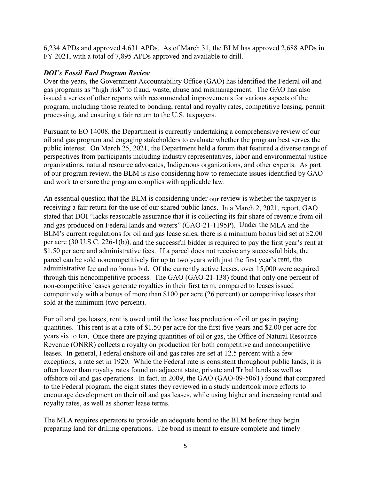6,234 APDs and approved 4,631 APDs. As of March 31, the BLM has approved 2,688 APDs in FY 2021, with a total of 7,895 APDs approved and available to drill.

#### *DOI's Fossil Fuel Program Review*

Over the years, the Government Accountability Office (GAO) has identified the Federal oil and gas programs as "high risk" to fraud, waste, abuse and mismanagement. The GAO has also issued a series of other reports with recommended improvements for various aspects of the program, including those related to bonding, rental and royalty rates, competitive leasing, permit processing, and ensuring a fair return to the U.S. taxpayers.

Pursuant to EO 14008, the Department is currently undertaking a comprehensive review of our oil and gas program and engaging stakeholders to evaluate whether the program best serves the public interest. On March 25, 2021, the Department held a forum that featured a diverse range of perspectives from participants including industry representatives, labor and environmental justice organizations, natural resource advocates, Indigenous organizations, and other experts. As part of our program review, the BLM is also considering how to remediate issues identified by GAO and work to ensure the program complies with applicable law.

An essential question that the BLM is considering under our review is whether the taxpayer is receiving a fair return for the use of our shared public lands. In a March 2, 2021, report, GAO stated that DOI "lacks reasonable assurance that it is collecting its fair share of revenue from oil and gas produced on Federal lands and waters" (GAO-21-1195P). Under the MLA and the BLM's current regulations for oil and gas lease sales, there is a minimum bonus bid set at \$2.00 per acre (30 U.S.C. 226-1(b)), and the successful bidder is required to pay the first year's rent at \$1.50 per acre and administrative fees. If a parcel does not receive any successful bids, the parcel can be sold noncompetitively for up to two years with just the first year's rent, the administrative fee and no bonus bid. Of the currently active leases, over 15,000 were acquired through this noncompetitive process. The GAO (GAO-21-138) found that only one percent of non-competitive leases generate royalties in their first term, compared to leases issued competitively with a bonus of more than \$100 per acre (26 percent) or competitive leases that sold at the minimum (two percent).

For oil and gas leases, rent is owed until the lease has production of oil or gas in paying quantities. This rent is at a rate of \$1.50 per acre for the first five years and \$2.00 per acre for years six to ten. Once there are paying quantities of oil or gas, the Office of Natural Resource Revenue (ONRR) collects a royalty on production for both competitive and noncompetitive leases. In general, Federal onshore oil and gas rates are set at 12.5 percent with a few exceptions, a rate set in 1920. While the Federal rate is consistent throughout public lands, it is often lower than royalty rates found on adjacent state, private and Tribal lands as well as offshore oil and gas operations. In fact, in 2009, the GAO (GAO-09-506T) found that compared to the Federal program, the eight states they reviewed in a study undertook more efforts to encourage development on their oil and gas leases, while using higher and increasing rental and royalty rates, as well as shorter lease terms.

The MLA requires operators to provide an adequate bond to the BLM before they begin preparing land for drilling operations. The bond is meant to ensure complete and timely